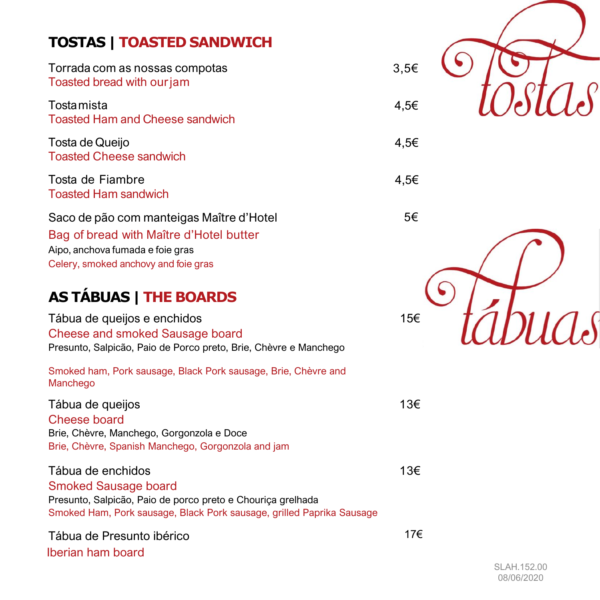# **TOSTAS | TOASTED SANDWICH**

| Torrada com as nossas compotas<br>Toasted bread with our jam                                  |  |
|-----------------------------------------------------------------------------------------------|--|
| Tosta mista<br><b>Toasted Ham and Cheese sandwich</b>                                         |  |
| Tosta de Queijo<br><b>Toasted Cheese sandwich</b>                                             |  |
| Tosta de Fiambre<br><b>Toasted Ham sandwich</b>                                               |  |
| Saco de pão com manteigas Maître d'Hotel<br>Desiraf languaged with Mattrea all Latel Jawittan |  |

Bag of bread with Maître d'Hotel butter Aipo, anchova fumada e foie gras Celery, smoked anchovy and foie gras

# **AS TÁBUAS | THE BOARDS**

Tábua de queijos e enchidos 15€ Cheese and smoked Sausage board Presunto, Salpicão, Paio de Porco preto, Brie, Chèvre e Manchego

Smoked ham, Pork sausage, Black Pork sausage, Brie, Chèvre and Manchego

Tábua de queijos 13€ Cheese board Brie, Chèvre, Manchego, Gorgonzola e Doce Brie, Chèvre, Spanish Manchego, Gorgonzola and jam

#### Tábua de enchidos entrante en el seu el seu el seu el seu el seu el seu el seu el seu el seu el seu el seu el s Smoked Sausage board Presunto, Salpicão, Paio de porco preto e Chouriça grelhada Smoked Ham, Pork sausage, Black Pork sausage, grilled Paprika Sausage

Tábua de Presunto ibérico Iberian ham board



SLAH.152.00 08/06/2020

17€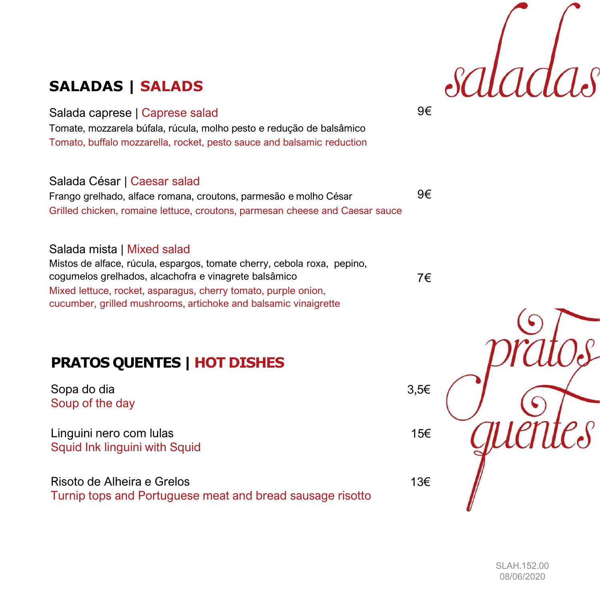

# **SALADAS | SALADS**

Salada caprese | Caprese salad

Tomate, mozzarela búfala, rúcula, molho pesto e redução de balsâmico Tomato, buffalo mozzarella, rocket, pesto sauce and balsamic reduction

#### Salada César | Caesar salad

Frango grelhado, alface romana, croutons, parmesão e molho César Grilled chicken, romaine lettuce, croutons, parmesan cheese and Caesar sauce

#### Salada mista | Mixed salad

Mistos de alface, rúcula, espargos, tomate cherry, cebola roxa, pepino, cogumelos grelhados, alcachofra e vinagrete balsâmico Mixed lettuce, rocket, asparagus, cherry tomato, purple onion, cucumber, grilled mushrooms, artichoke and balsamic vinaigrette

## **PRATOS QUENTES | HOT DISHES**

Sopa do dia Soup of the day

Linguini nero com lulas Squid Ink linguini with Squid

Risoto de Alheira e Grelos Turnip tops and Portuguese meat and bread sausage risotto 9€

9€

7€



SLAH.152.00 08/06/2020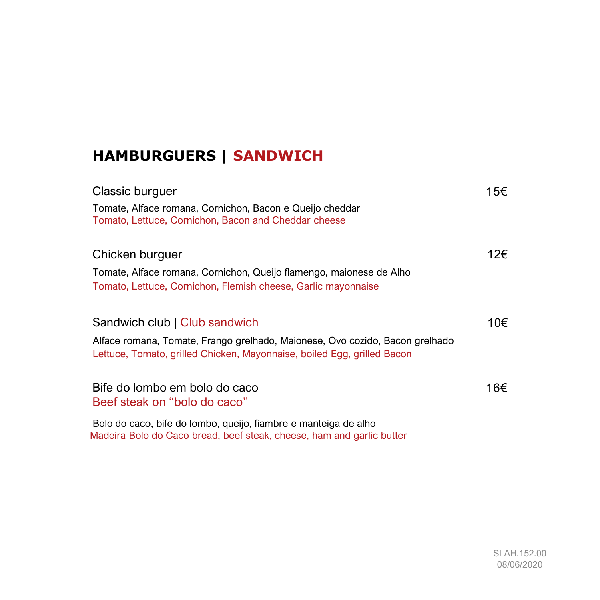# **HAMBURGUERS | SANDWICH**

| Classic burguer                                                                                                                                         | 15€ |
|---------------------------------------------------------------------------------------------------------------------------------------------------------|-----|
| Tomate, Alface romana, Cornichon, Bacon e Queijo cheddar<br>Tomato, Lettuce, Cornichon, Bacon and Cheddar cheese                                        |     |
| Chicken burguer                                                                                                                                         | 12€ |
| Tomate, Alface romana, Cornichon, Queijo flamengo, maionese de Alho                                                                                     |     |
| Tomato, Lettuce, Cornichon, Flemish cheese, Garlic mayonnaise                                                                                           |     |
| Sandwich club   Club sandwich                                                                                                                           | 10€ |
| Alface romana, Tomate, Frango grelhado, Maionese, Ovo cozido, Bacon grelhado<br>Lettuce, Tomato, grilled Chicken, Mayonnaise, boiled Egg, grilled Bacon |     |
| Bife do lombo em bolo do caco<br>Beef steak on "bolo do caco"                                                                                           | 16€ |
| Bolo do caco, bife do lombo, queijo, fiambre e manteiga de alho<br>Madeira Bolo do Caco bread, beef steak, cheese, ham and garlic butter                |     |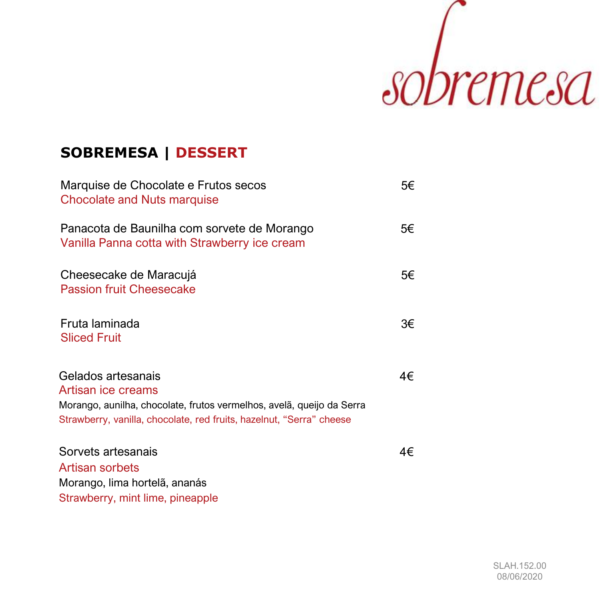

## **SOBREMESA | DESSERT**

| Marquise de Chocolate e Frutos secos<br>Chocolate and Nuts marquise                                                                                                                       | 5€ |
|-------------------------------------------------------------------------------------------------------------------------------------------------------------------------------------------|----|
| Panacota de Baunilha com sorvete de Morango<br>Vanilla Panna cotta with Strawberry ice cream                                                                                              | 5€ |
| Cheesecake de Maracujá<br><b>Passion fruit Cheesecake</b>                                                                                                                                 | 5€ |
| Fruta laminada<br><b>Sliced Fruit</b>                                                                                                                                                     | 3€ |
| Gelados artesanais<br>Artisan ice creams<br>Morango, aunilha, chocolate, frutos vermelhos, avelã, queijo da Serra<br>Strawberry, vanilla, chocolate, red fruits, hazelnut, "Serra" cheese | 4€ |
| Sorvets artesanais<br><b>Artisan sorbets</b><br>Morango, lima hortelã, ananás<br>Strawberry, mint lime, pineapple                                                                         | 4€ |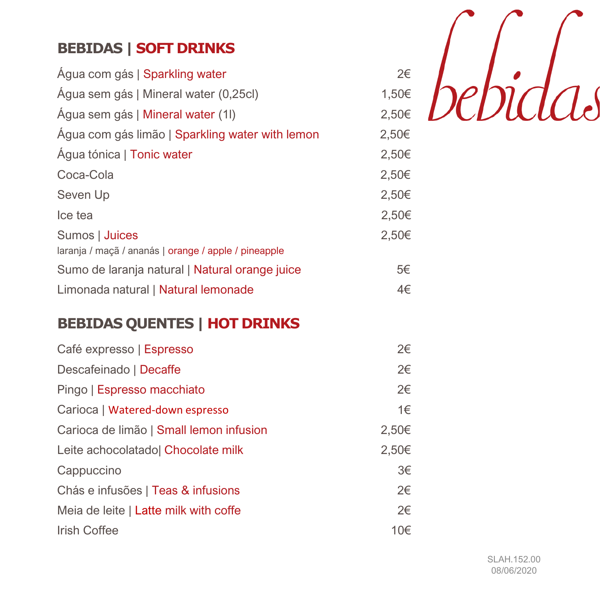# **BEBIDAS | SOFT DRINKS**

| Água com gás   Sparkling water                       | 2€    |
|------------------------------------------------------|-------|
| Agua sem gás   Mineral water (0,25cl)                | 1,50€ |
| Agua sem gás   Mineral water (1)                     | 2,50€ |
| Agua com gás limão   Sparkling water with lemon      | 2,50€ |
| Água tónica   Tonic water                            | 2,50€ |
| Coca-Cola                                            | 2,50€ |
| Seven Up                                             | 2,50€ |
| Ice tea                                              | 2,50€ |
| Sumos   Juices                                       | 2,50€ |
| laranja / maçã / ananás   orange / apple / pineapple |       |
| Sumo de laranja natural   Natural orange juice       | 5€    |
| Limonada natural   Natural lemonade                  | 4€    |



# **BEBIDAS QUENTES | HOT DRINKS**

| Café expresso   Espresso                | 2€    |
|-----------------------------------------|-------|
| Descafeinado   Decaffe                  | 2€    |
| Pingo   Espresso macchiato              | 2€    |
| Carioca   Watered-down espresso         | 1€    |
| Carioca de limão   Small lemon infusion | 2,50€ |
| Leite achocolatado  Chocolate milk      | 2,50€ |
| Cappuccino                              | 3€    |
| Chás e infusões   Teas & infusions      | 2€    |
| Meia de leite   Latte milk with coffe   | 2€    |
| <b>Irish Coffee</b>                     | 10€   |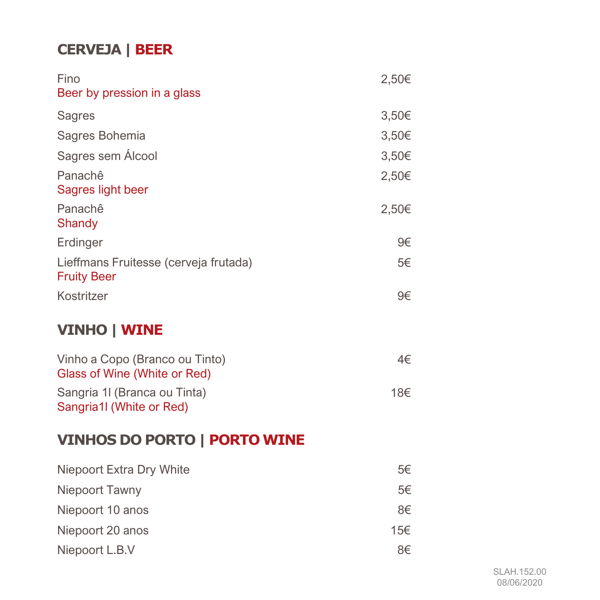# **CERVEJA | BEER**

| Fino                                                           | 2,50€ |
|----------------------------------------------------------------|-------|
| Beer by pression in a glass                                    |       |
| <b>Sagres</b>                                                  | 3,50€ |
| Sagres Bohemia                                                 | 3,50€ |
| Sagres sem Álcool                                              | 3,50€ |
| Panachê<br>Sagres light beer                                   | 2,50€ |
| Panachê<br>Shandy                                              | 2,50€ |
| Erdinger                                                       | 9€    |
| Lieffmans Fruitesse (cerveja frutada)<br><b>Fruity Beer</b>    | 5€    |
| Kostritzer                                                     | 9€    |
| <b>VINHO   WINE</b>                                            |       |
| Vinho a Copo (Branco ou Tinto)<br>Glass of Wine (White or Red) | 4€    |
| Sangria 1I (Branca ou Tinta)                                   | 18€   |

Sangria 1l (Branca ou Tinta) Sangria1l (White or Red)

# **VINHOS DO PORTO | PORTO WINE**

| Niepoort Extra Dry White | 5€  |
|--------------------------|-----|
| Niepoort Tawny           | 5€  |
| Niepoort 10 anos         | 8€  |
| Niepoort 20 anos         | 15€ |
| Niepoort L.B.V           | 8€  |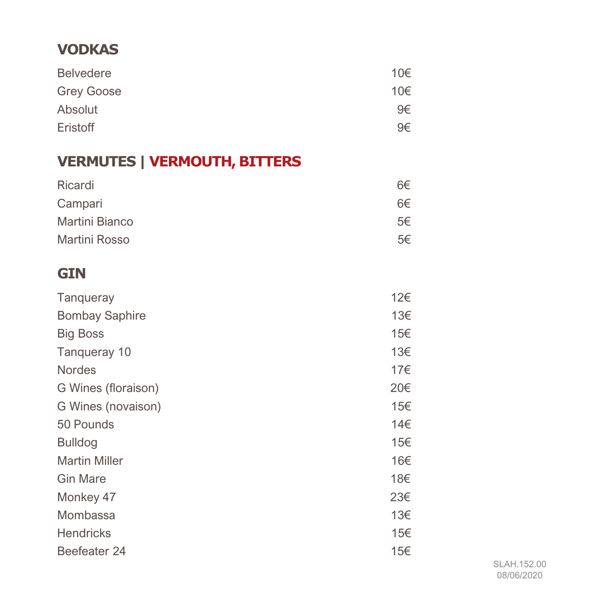### **VODKAS**

| <b>Belvedere</b>  | 10€ |
|-------------------|-----|
| <b>Grey Goose</b> | 10€ |
| Absolut           | 9€  |
| Eristoff          | 9€  |

# **VERMUTES | VERMOUTH, BITTERS**

| Ricardi        | 6€ |
|----------------|----|
| Campari        | 6€ |
| Martini Bianco | 5€ |
| Martini Rosso  | 5€ |

#### **GIN**

| <b>Tanqueray</b>      | 12€ |
|-----------------------|-----|
| <b>Bombay Saphire</b> | 13€ |
| <b>Big Boss</b>       | 15€ |
| Tangueray 10          | 13€ |
| <b>Nordes</b>         | 17€ |
| G Wines (floraison)   | 20€ |
| G Wines (novaison)    | 15€ |
| 50 Pounds             | 14€ |
| <b>Bulldog</b>        | 15€ |
| <b>Martin Miller</b>  | 16€ |
| <b>Gin Mare</b>       | 18€ |
| Monkey 47             | 23€ |
| Mombassa              | 13€ |
| <b>Hendricks</b>      | 15€ |
| Beefeater 24          | 15€ |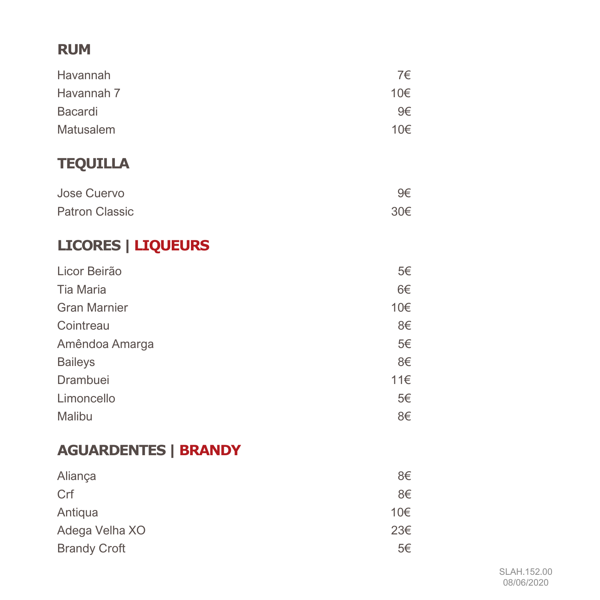## **RUM**

| Havannah   | 7€  |
|------------|-----|
| Havannah 7 | 10€ |
| Bacardi    | 9€  |
| Matusalem  | 10€ |

# **TEQUILLA**

| Jose Cuervo           | 9€  |
|-----------------------|-----|
| <b>Patron Classic</b> | 30€ |

# **LICORES | LIQUEURS**

| Licor Beirão        | 5€  |
|---------------------|-----|
| <b>Tia Maria</b>    | 6€  |
| <b>Gran Marnier</b> | 10€ |
| Cointreau           | 8€  |
| Amêndoa Amarga      | 5€  |
| <b>Baileys</b>      | 8€  |
| Drambuei            | 11€ |
| Limoncello          | 5€  |
| Malibu              | 8€  |

# **AGUARDENTES | BRANDY**

| Aliança             | 8€  |
|---------------------|-----|
| Crf                 | 8€  |
| Antiqua             | 10€ |
| Adega Velha XO      | 23€ |
| <b>Brandy Croft</b> | 5€  |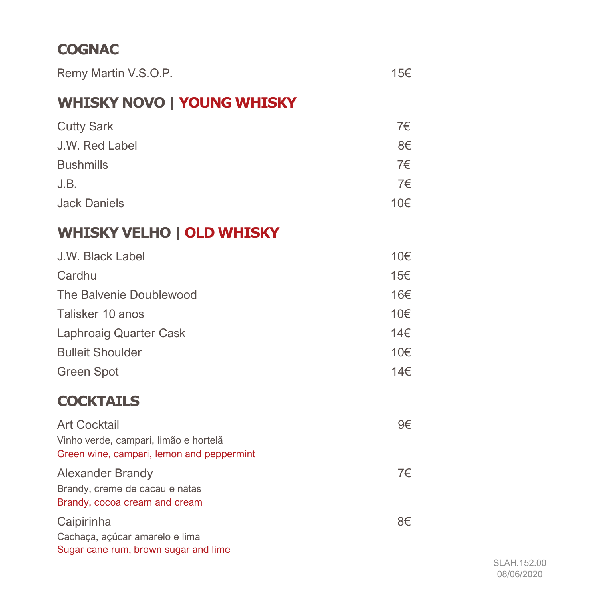## **COGNAC**

| Remy Martin V.S.O.P. | 15€ |
|----------------------|-----|
|----------------------|-----|

# **WHISKY NOVO | YOUNG WHISKY**

| <b>Cutty Sark</b>   | 7€  |
|---------------------|-----|
| J.W. Red Label      | 8€  |
| <b>Bushmills</b>    | 7€  |
| J.B.                | 7€  |
| <b>Jack Daniels</b> | 10€ |

# **WHISKY VELHO | OLD WHISKY**

| J.W. Black Label        | 10€ |
|-------------------------|-----|
| Cardhu                  | 15€ |
| The Balvenie Doublewood | 16€ |
| Talisker 10 anos        | 10€ |
| Laphroaig Quarter Cask  | 14€ |
| <b>Bulleit Shoulder</b> | 10€ |
| <b>Green Spot</b>       | 14€ |

### **COCKTAILS**

| <b>Art Cocktail</b>                                                                        | 9€ |
|--------------------------------------------------------------------------------------------|----|
| Vinho verde, campari, limão e hortelã<br>Green wine, campari, lemon and peppermint         |    |
| <b>Alexander Brandy</b><br>Brandy, creme de cacau e natas<br>Brandy, cocoa cream and cream | 7€ |
| Caipirinha<br>Cachaça, açúcar amarelo e lima<br>Sugar cane rum, brown sugar and lime       | 8€ |